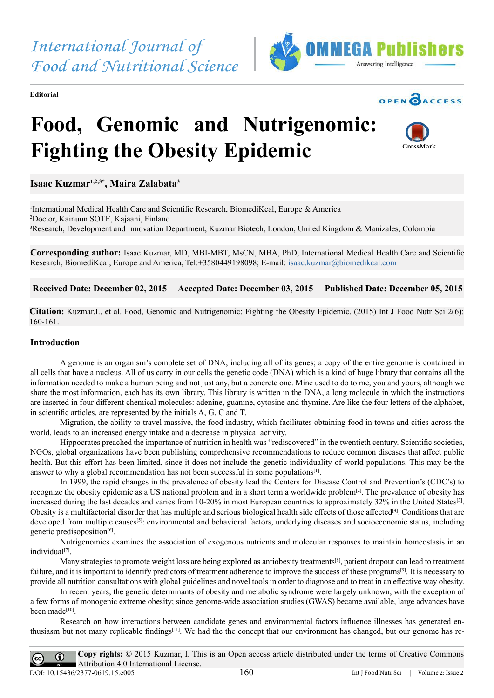**Editorial**





## **Food, Genomic and Nutrigenomic: Fighting the Obesity Epidemic**



**Isaac Kuzmar1,2,3\*, Maira Zalabata3**

<sup>1</sup>International Medical Health Care and Scientific Research, BiomediKcal, Europe & America 2 Doctor, Kainuun SOTE, Kajaani, Finland 3 Research, Development and Innovation Department, Kuzmar Biotech, London, United Kingdom & Manizales, Colombia

**Corresponding author:** Isaac Kuzmar, MD, MBI-MBT, MsCN, MBA, PhD, International Medical Health Care and Scientific Research, BiomediKcal, Europe and America, Tel:+3580449198098; E-mail: [isaac.kuzmar@biomedikcal.com](mailto:isaac.kuzmar%40biomedikcal.com?subject=)

 **Received Date: December 02, 2015 Accepted Date: December 03, 2015 Published Date: December 05, 2015**

**Citation:** Kuzmar,I., et al. Food, Genomic and Nutrigenomic: Fighting the Obesity Epidemic. (2015) Int J Food Nutr Sci 2(6): 160-161.

## **Introduction**

A genome is an organism's complete set of DNA, including all of its genes; a copy of the entire genome is contained in all cells that have a nucleus. All of us carry in our cells the genetic code (DNA) which is a kind of huge library that contains all the information needed to make a human being and not just any, but a concrete one. Mine used to do to me, you and yours, although we share the most information, each has its own library. This library is written in the DNA, a long molecule in which the instructions are inserted in four different chemical molecules: adenine, guanine, cytosine and thymine. Are like the four letters of the alphabet, in scientific articles, are represented by the initials A, G, C and T.

Migration, the ability to travel massive, the food industry, which facilitates obtaining food in towns and cities across the world, leads to an increased energy intake and a decrease in physical activity.

Hippocrates preached the importance of nutrition in health was "rediscovered" in the twentieth century. Scientific societies, NGOs, global organizations have been publishing comprehensive recommendations to reduce common diseases that affect public health. But this effort has been limited, since it does not include the genetic individuality of world populations. This may be the answer to why a global recommendation has not been successful in some populations $[1]$ .

In 1999, the rapid changes in the prevalence of obesity lead the Centers for Disease Control and Prevention's (CDC's) to recognize the obesity epidemic as a US national problem and in a short term a worldwide problem[2]. The prevalence of obesity has increased during the last decades and varies from 10-20% in most European countries to approximately 32% in the United States<sup>[3]</sup>. Obesity is a multifactorial disorder that has multiple and serious biological health side effects of those affected[4]. Conditions that are developed from multiple causes<sup>[5]</sup>: environmental and behavioral factors, underlying diseases and socioeconomic status, including genetic predisoposition<sup>[6]</sup>.

Nutrigenomics examines the association of exogenous nutrients and molecular responses to maintain homeostasis in an individual<sup>[7]</sup>.

Many strategies to promote weight loss are being explored as antiobesity treatments<sup>[8]</sup>, patient dropout can lead to treatment failure, and it is important to identify predictors of treatment adherence to improve the success of these programs<sup>[9]</sup>. It is necessary to provide all nutrition consultations with global guidelines and novel tools in order to diagnose and to treat in an effective way obesity.

In recent years, the genetic determinants of obesity and metabolic syndrome were largely unknown, with the exception of a few forms of monogenic extreme obesity; since genome-wide association studies (GWAS) became available, large advances have been made[10].

Research on how interactions between candidate genes and environmental factors influence illnesses has generated enthusiasm but not many replicable findings[11]. We had the the concept that our environment has changed, but our genome has re-

**Copy rights:** © 2015 Kuzmar, I. This is an Open access article distributed under the terms of Creative Commons  $\odot$  $\overline{cc}$ Attribution 4.0 International License. DOI: 10.15436/2377-0619.15.e005 160 Int J Food Nutr Sci | Volume 2: Issue 2